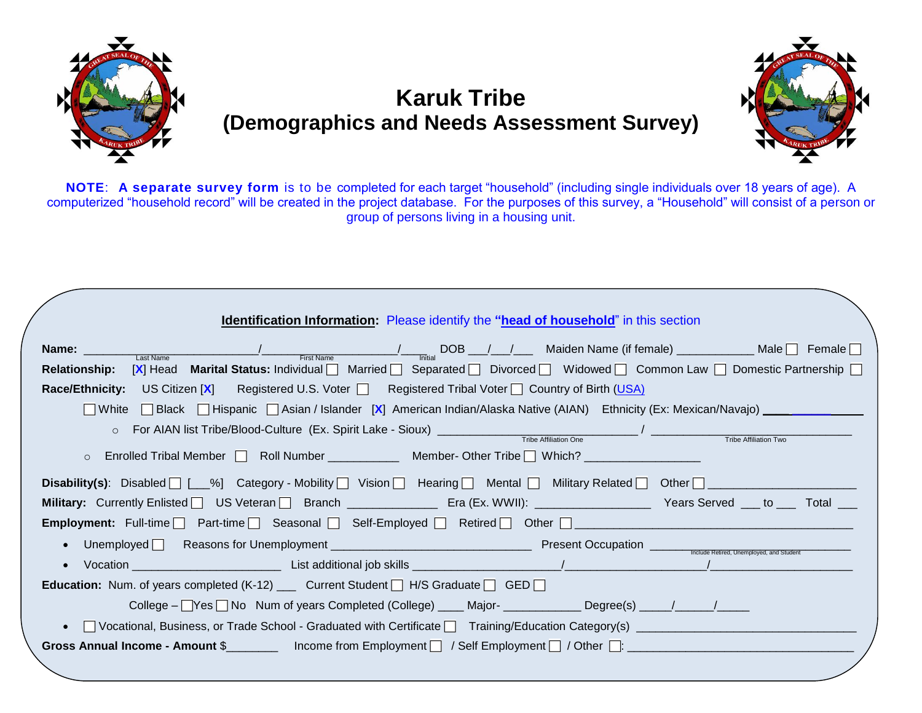

## **Karuk Tribe (Demographics and Needs Assessment Survey)**



**NOTE**: **A separate survey form** is to be completed for each target "household" (including single individuals over 18 years of age). A computerized "household record" will be created in the project database. For the purposes of this survey, a "Household" will consist of a person or group of persons living in a housing unit.

| <b>Identification Information:</b> Please identify the "head of household" in this section                                                                                                                                                          |
|-----------------------------------------------------------------------------------------------------------------------------------------------------------------------------------------------------------------------------------------------------|
| Name: $\frac{1}{\text{Last Name}}$ $\frac{1}{\text{First Name}}$ $\frac{1}{\text{First Name}}$ DOB $\frac{1}{\text{Initial}}$ DOB $\frac{1}{\text{Initial}}$ Maiden Name (if female) $\frac{1}{\text{Initial}}$ Male $\Box$ Female $\Box$           |
| Relationship: [X] Head Marital Status: Individual Married Separated Divorced Widowed Common Law Domestic Partnership                                                                                                                                |
| <b>Race/Ethnicity:</b> US Citizen $[X]$ Registered U.S. Voter $\Box$ Registered Tribal Voter $\Box$ Country of Birth (USA)                                                                                                                          |
| ■ White ■ Black ■ Hispanic ■ Asian / Islander [X] American Indian/Alaska Native (AIAN) Ethnicity (Ex: Mexican/Navajo) _ _ _ _ _ _ _ _                                                                                                               |
| O For AIAN list Tribe/Blood-Culture (Ex. Spirit Lake - Sioux) <u>Contained Tribe Affiliation One</u><br>Tribe Affiliation Two                                                                                                                       |
| Enrolled Tribal Member   Roll Number ____________ Member- Other Tribe   Which? __________________<br>$\circ$                                                                                                                                        |
| <b>Disability(s)</b> : Disabled $\lceil \lfloor \frac{m}{2} \rfloor \rfloor$ Category - Mobility $\lceil \rfloor$ Vision $\lceil \rfloor$ Hearing $\lceil \rfloor$ Mental $\lceil \rfloor$ Military Related $\lceil \rfloor$ Other $\lceil \rfloor$ |
| Military: Currently Enlisted US Veteran Branch ____________ Era (Ex. WWII): ________________ Years Served ___ to ___ Total ___                                                                                                                      |
| <b>Employment:</b> Full-time $\Box$ Part-time $\Box$ Seasonal $\Box$ Self-Employed $\Box$ Retired $\Box$ Other $\Box$                                                                                                                               |
|                                                                                                                                                                                                                                                     |
|                                                                                                                                                                                                                                                     |
| <b>Education:</b> Num. of years completed $(K-12)$ ____ Current Student $\Box$ H/S Graduate $\Box$ GED $\Box$                                                                                                                                       |
| College – Yes No Num of years Completed (College) _____ Major- ______________ Degree(s) _____/ _____/ ______                                                                                                                                        |
|                                                                                                                                                                                                                                                     |
|                                                                                                                                                                                                                                                     |
|                                                                                                                                                                                                                                                     |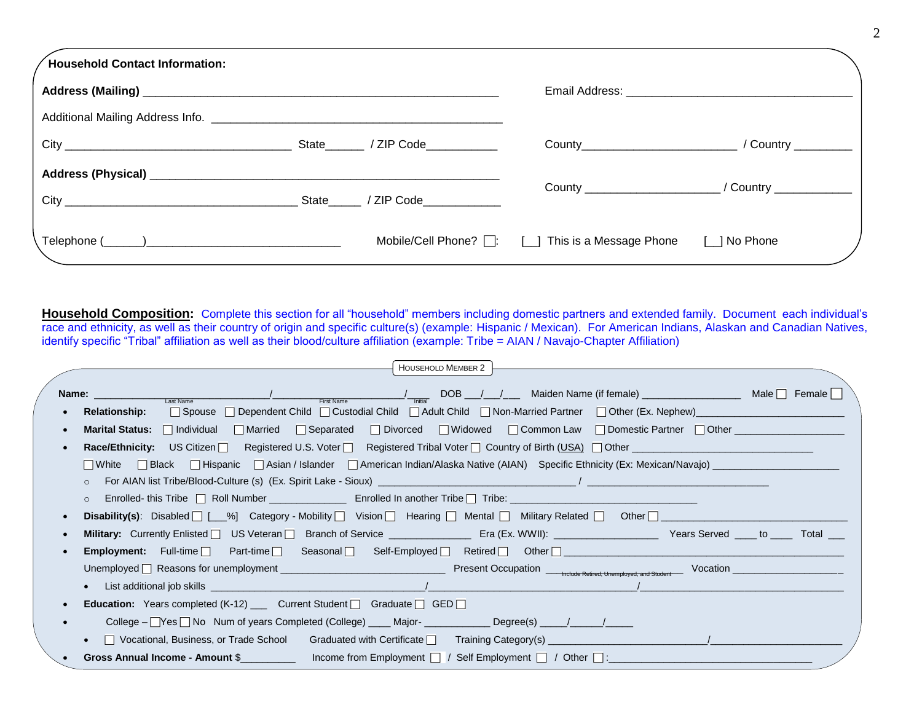| Household Contact Information: |  |                                                                            |                                                          |
|--------------------------------|--|----------------------------------------------------------------------------|----------------------------------------------------------|
|                                |  |                                                                            |                                                          |
|                                |  |                                                                            |                                                          |
|                                |  |                                                                            |                                                          |
|                                |  |                                                                            |                                                          |
|                                |  |                                                                            | County __________________________/ Country _____________ |
|                                |  | Mobile/Cell Phone? $\Box$ : $\Box$ This is a Message Phone $\Box$ No Phone |                                                          |

**Household Composition:** Complete this section for all "household" members including domestic partners and extended family. Document each individual's race and ethnicity, as well as their country of origin and specific culture(s) (example: Hispanic / Mexican). For American Indians, Alaskan and Canadian Natives, identify specific "Tribal" affiliation as well as their blood/culture affiliation (example: Tribe = AIAN / Navajo-Chapter Affiliation)

| <b>HOUSEHOLD MEMBER 2</b>                                                                                                                                                                                                                                        |                     |
|------------------------------------------------------------------------------------------------------------------------------------------------------------------------------------------------------------------------------------------------------------------|---------------------|
|                                                                                                                                                                                                                                                                  |                     |
| <b>Name:</b> $\frac{1}{\text{Last Name}}$ $\frac{1}{\text{Last Name}}$ $\frac{1}{\text{First Name}}$ $\frac{1}{\text{First Name}}$ $\frac{1}{\text{Initial}}$ DOB $\frac{1}{\text{Multi}}$ Maiden Name (if female) $\frac{1}{\text{Initial}}$ Male $\Box$ Female |                     |
| <b>Relationship:</b>                                                                                                                                                                                                                                             |                     |
| Marital Status: Individual Married Separated Divorced Widowed Common Law Domestic Partner Other Common Law Law                                                                                                                                                   |                     |
| <b>Race/Ethnicity:</b> US Citizen $\Box$ Registered U.S. Voter $\Box$ Registered Tribal Voter $\Box$ Country of Birth (USA) $\Box$ Other                                                                                                                         |                     |
| □ White □ Black □ Hispanic □ Asian / Islander □ American Indian/Alaska Native (AIAN) Specific Ethnicity (Ex: Mexican/Navajo)                                                                                                                                     |                     |
| $\Omega$                                                                                                                                                                                                                                                         |                     |
| $\circ$                                                                                                                                                                                                                                                          |                     |
| Disability(s): Disabled   [__%] Category - Mobility   Vision   Hearing   Mental   Military Related   Other   __________________________                                                                                                                          |                     |
|                                                                                                                                                                                                                                                                  |                     |
| <b>Employment:</b> Full-time Part-time P Seasonal Self-Employed P Retired P Other P _________________________________                                                                                                                                            |                     |
|                                                                                                                                                                                                                                                                  | Vocation $\sqrt{a}$ |
|                                                                                                                                                                                                                                                                  |                     |
| <b>Education:</b> Years completed (K-12) ____ Current Student $\Box$ Graduate $\Box$ GED $\Box$                                                                                                                                                                  |                     |
| College – Yes No Num of years Completed (College) ____ Major- _____________ Degree(s) _____/ ______/                                                                                                                                                             |                     |
| $\Box$ Vocational, Business, or Trade School Graduated with Certificate $\Box$ Training Category(s)                                                                                                                                                              |                     |
|                                                                                                                                                                                                                                                                  |                     |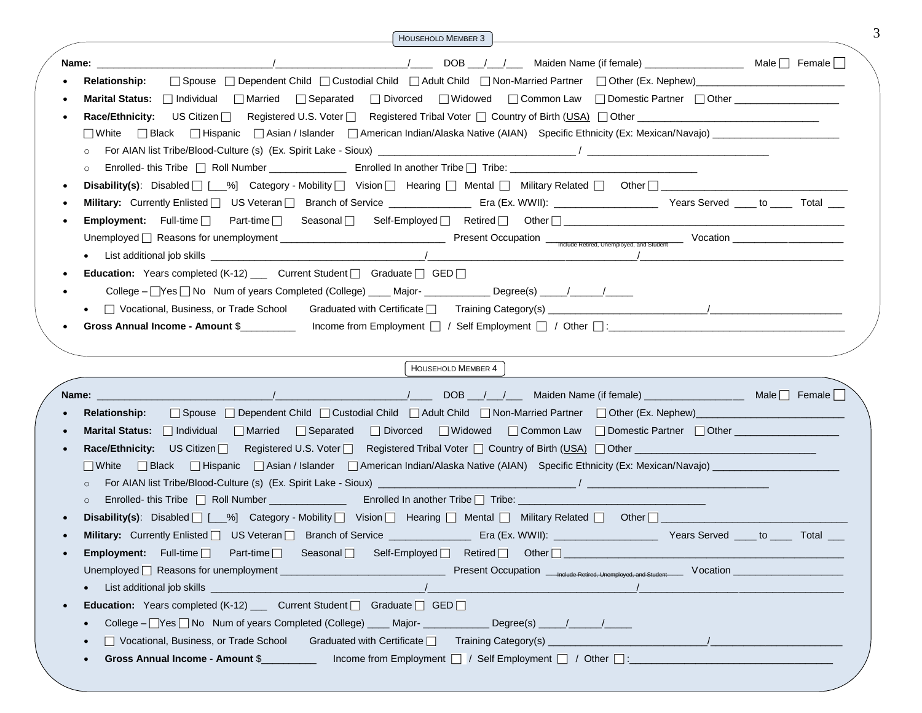|         | <b>HOUSEHOLD MEMBER 3</b>                                                                                                                                                                                                                |                                    |
|---------|------------------------------------------------------------------------------------------------------------------------------------------------------------------------------------------------------------------------------------------|------------------------------------|
| Name:   | 1 V L DOB 1/1 V Maiden Name (if female)                                                                                                                                                                                                  | Male $\Box$ Female $\vert \ \vert$ |
|         | □ Spouse □ Dependent Child □ Custodial Child □ Adult Child □ Non-Married Partner □ Other (Ex. Nephew)<br><b>Relationship:</b>                                                                                                            |                                    |
|         | □ Divorced □ Widowed □ Common Law □ Domestic Partner □ Other<br><b>Marital Status:</b> Individual Independent 3 Separated                                                                                                                |                                    |
|         |                                                                                                                                                                                                                                          |                                    |
|         | □ Black □ Hispanic □ Asian / Islander □ American Indian/Alaska Native (AIAN) Specific Ethnicity (Ex: Mexican/Navajo) __________________<br>$\Box$ White                                                                                  |                                    |
| $\circ$ |                                                                                                                                                                                                                                          |                                    |
| $\circ$ |                                                                                                                                                                                                                                          |                                    |
|         | <b>Disability(s):</b> Disabled $\Box$ [__%] Category - Mobility $\Box$ Vision $\Box$ Hearing $\Box$ Mental $\Box$ Military Related $\Box$ Other $\Box$                                                                                   |                                    |
|         | Military: Currently Enlisted   US Veteran   Branch of Service ___________________ Era (Ex. WWII): ______________________ Years Served ____ to _____ Total ___                                                                            |                                    |
|         |                                                                                                                                                                                                                                          |                                    |
|         |                                                                                                                                                                                                                                          |                                    |
|         |                                                                                                                                                                                                                                          |                                    |
|         | <b>Education:</b> Years completed (K-12) __ Current Student $\Box$ Graduate $\Box$ GED $\Box$                                                                                                                                            |                                    |
|         | College – <u>∏</u> Yes □ No Num of years Completed (College) ____ Major- ____________ Degree(s) ____/ _____/ _____                                                                                                                       |                                    |
|         |                                                                                                                                                                                                                                          |                                    |
|         | Gross Annual Income - Amount \$<br>Income from Employment $\Box$ / Self Employment $\Box$ / Other $\Box$ :                                                                                                                               |                                    |
|         | <b>HOUSEHOLD MEMBER 4</b>                                                                                                                                                                                                                |                                    |
| Name:   |                                                                                                                                                                                                                                          |                                    |
|         | □ Spouse □ Dependent Child □ Custodial Child □ Adult Child □ Non-Married Partner □ Other (Ex. Nephew)<br><b>Relationship:</b>                                                                                                            |                                    |
|         |                                                                                                                                                                                                                                          |                                    |
|         |                                                                                                                                                                                                                                          |                                    |
|         | Marital Status:   Individual   Married   Separated<br>□ Divorced □ Widowed □ Common Law □ Domestic Partner □ Other __________________                                                                                                    |                                    |
|         | Race/Ethnicity: US Citizen $\Box$<br>Registered U.S. Voter   Registered Tribal Voter   Country of Birth (USA)   Other   Communication Countries                                                                                          |                                    |
|         | □ Black □ Hispanic □ Asian / Islander □ American Indian/Alaska Native (AIAN) Specific Ethnicity (Ex: Mexican/Navajo) _________________<br>$\Box$ White                                                                                   |                                    |
| $\circ$ |                                                                                                                                                                                                                                          |                                    |
| $\circ$ |                                                                                                                                                                                                                                          |                                    |
|         | Disability(s): Disabled $\Box$ [__%] Category - Mobility $\Box$ Vision $\Box$ Hearing $\Box$ Mental $\Box$ Military Related $\Box$ Other $\Box$                                                                                          |                                    |
|         | Military: Currently Enlisted   US Veteran   Branch of Service   Era (Ex. WWII):   Currently Franch Company: Currently Enlisted   US Veteran   Branch of Service   Era (Ex. WWII):   Currently Franch Served   to   Total                 |                                    |
|         | Self-Employed   Retired  <br><b>Employment:</b> $Full-time$<br>Other $\Box$<br>Part-time $\Box$<br>Seasonal $\Box$<br>Vocation                                                                                                           |                                    |
|         | Present Occupation <sub>- Include Retired, Unemployed, and Stude</sub><br>Unemployed □ Reasons for unemployment<br><u> 1990 - Johann Barnett, mars et al. 1990 - Anna anno 1990 - Anna ann an t-Anna ann an t-Anna ann an t-Anna ann</u> |                                    |
|         | List additional job skills _                                                                                                                                                                                                             |                                    |
|         | <b>Education:</b> Years completed (K-12) __ Current Student $\Box$ Graduate $\Box$ GED $\Box$                                                                                                                                            |                                    |
|         | College - TYes T No Num of years Completed (College) ____ Major-_________<br>. Degree(s) _____/______/____                                                                                                                               |                                    |
|         | □ Vocational, Business, or Trade School Graduated with Certificate □ Training Category(s) _________<br>Gross Annual Income - Amount \$<br>Income from Employment $\Box$ / Self Employment $\Box$ / Other $\Box$ :                        |                                    |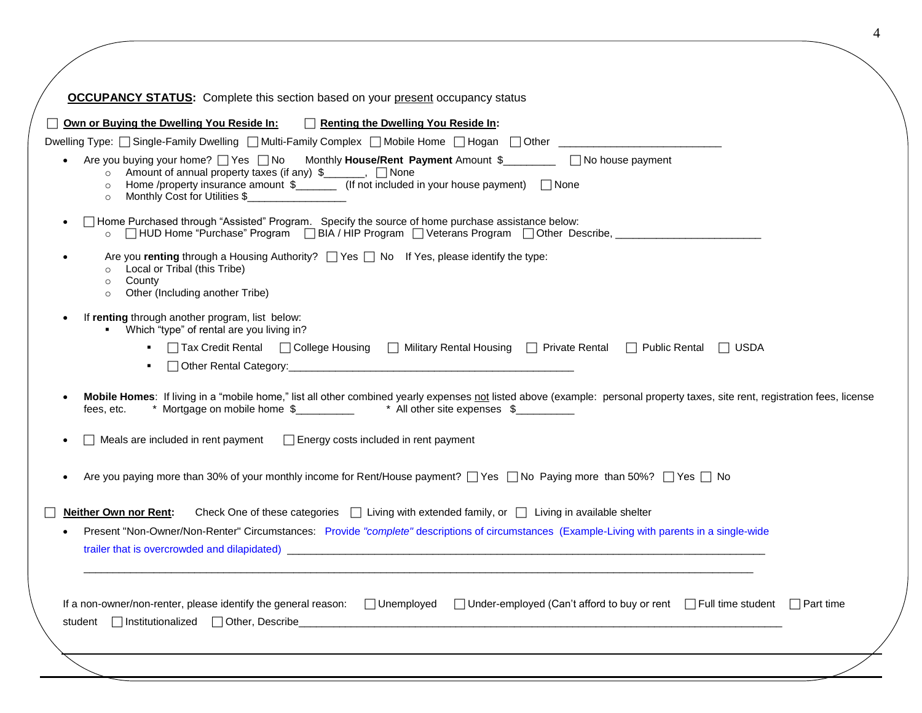4

| □ Own or Buying the Dwelling You Reside In: □ Renting the Dwelling You Reside In:                                                                                                                                                                                                                                                           |  |
|---------------------------------------------------------------------------------------------------------------------------------------------------------------------------------------------------------------------------------------------------------------------------------------------------------------------------------------------|--|
| Dwelling Type: [ Single-Family Dwelling   Multi-Family Complex   Mobile Home   Hogan   Other   Comment   China                                                                                                                                                                                                                              |  |
| Are you buying your home? <sup>1</sup> Yes No Monthly <b>House/Rent Payment</b> Amount \$<br>2 No house payment<br>○ Amount of annual property taxes (if any) \$_______, □ None<br>Home /property insurance amount $\frac{1}{2}$ (If not included in your house payment) $\Box$ None<br>$\circ$<br>Monthly Cost for Utilities \$<br>$\circ$ |  |
| □ Home Purchased through "Assisted" Program. Specify the source of home purchase assistance below:<br>□ HUD Home "Purchase" Program □ BIA / HIP Program □ Veterans Program □ Other Describe, ____________<br>$\circ$                                                                                                                        |  |
| Are you renting through a Housing Authority? $\Box$ Yes $\Box$ No If Yes, please identify the type:<br>Local or Tribal (this Tribe)<br>$\circ$<br>County<br>$\circ$<br>Other (Including another Tribe)<br>$\circ$                                                                                                                           |  |
| If renting through another program, list below:<br>Which "type" of rental are you living in?<br>□ Tax Credit Rental □ College Housing □ Military Rental Housing □ Private Rental □ Public Rental<br>$\Box$ USDA                                                                                                                             |  |
| Mobile Homes: If living in a "mobile home," list all other combined yearly expenses not listed above (example: personal property taxes, site rent, registration fees, license<br>* Mortgage on mobile home \$ ___________ * All other site expenses \$<br>fees, etc.                                                                        |  |
| Meals are included in rent payment<br><b>Energy costs included in rent payment</b>                                                                                                                                                                                                                                                          |  |
| Are you paying more than 30% of your monthly income for Rent/House payment? □ Yes □ No Paying more than 50%? □ Yes □ No                                                                                                                                                                                                                     |  |
| Check One of these categories $\Box$ Living with extended family, or $\Box$ Living in available shelter<br><b>Neither Own nor Rent:</b>                                                                                                                                                                                                     |  |
| Present "Non-Owner/Non-Renter" Circumstances: Provide "complete" descriptions of circumstances (Example-Living with parents in a single-wide                                                                                                                                                                                                |  |
| If a non-owner/non-renter, please identify the general reason: Unemployed Under-employed (Can't afford to buy or rent net when student neart time                                                                                                                                                                                           |  |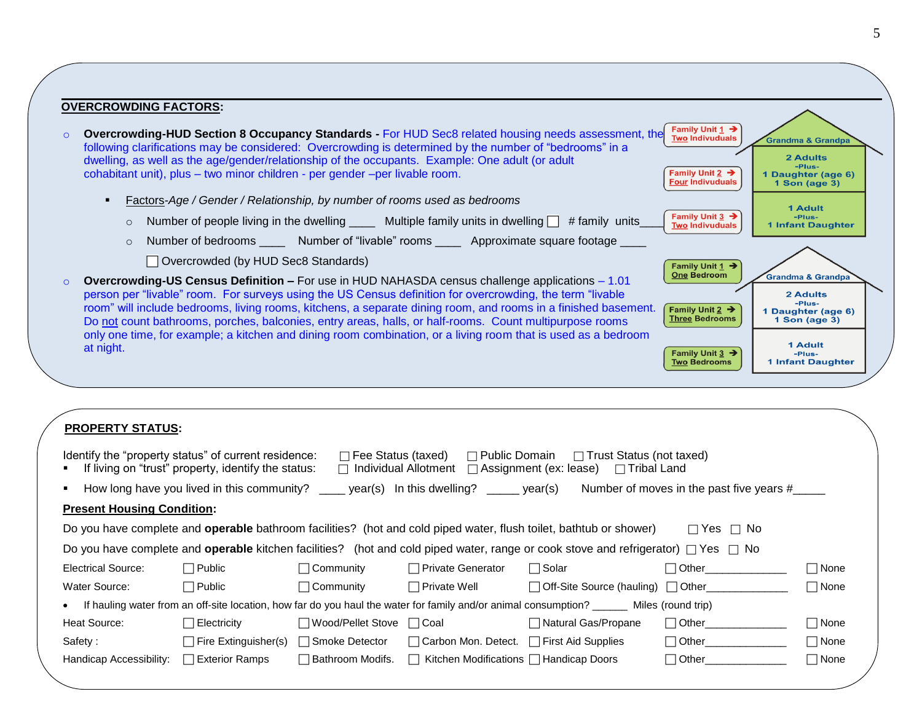| <b>OVERCROWDING FACTORS:</b>                                                                                                                                                                                                                                                                                                                                                                                                                      |                                                                                                                 |                                                                                                     |
|---------------------------------------------------------------------------------------------------------------------------------------------------------------------------------------------------------------------------------------------------------------------------------------------------------------------------------------------------------------------------------------------------------------------------------------------------|-----------------------------------------------------------------------------------------------------------------|-----------------------------------------------------------------------------------------------------|
| <b>Overcrowding-HUD Section 8 Occupancy Standards - For HUD Sec8 related housing needs assessment, the</b><br>following clarifications may be considered: Overcrowding is determined by the number of "bedrooms" in a<br>dwelling, as well as the age/gender/relationship of the occupants. Example: One adult (or adult<br>cohabitant unit), plus - two minor children - per gender - per livable room.                                          | Family Unit 1 $\rightarrow$<br><b>Two Indivuduals</b><br>Family Unit 2 $\rightarrow$<br><b>Four Indivuduals</b> | <b>Grandma &amp; Grandpa</b><br>2 Adults<br>-Plus-<br>1 Daughter (age 6)<br>1 Son $(\text{age } 3)$ |
| Factors-Age / Gender / Relationship, by number of rooms used as bedrooms<br>$\blacksquare$<br>Number of people living in the dwelling _____ Multiple family units in dwelling $\Box$ # family units<br>$\circ$                                                                                                                                                                                                                                    | Family Unit $3 \rightarrow$<br><b>Two Indivuduals</b>                                                           | <b>1 Adult</b><br>-Plus-<br><b>1 Infant Daughter</b>                                                |
| Number of bedrooms _______ Number of "livable" rooms _______ Approximate square footage<br>$\circ$<br>Overcrowded (by HUD Sec8 Standards)                                                                                                                                                                                                                                                                                                         | Family Unit $1 \rightarrow$                                                                                     |                                                                                                     |
| <b>Overcrowding-US Census Definition –</b> For use in HUD NAHASDA census challenge applications – 1.01<br>person per "livable" room. For surveys using the US Census definition for overcrowding, the term "livable"<br>room" will include bedrooms, living rooms, kitchens, a separate dining room, and rooms in a finished basement.<br>Do not count bathrooms, porches, balconies, entry areas, halls, or half-rooms. Count multipurpose rooms | <b>One Bedroom</b><br>Family Unit $2 \rightarrow$<br><b>Three Bedrooms</b>                                      | <b>Grandma &amp; Grandpa</b><br>2 Adults<br>-Plus-<br>1 Daughter (age 6)<br>1 Son $(aqe 3)$         |
| only one time, for example; a kitchen and dining room combination, or a living room that is used as a bedroom<br>at night.                                                                                                                                                                                                                                                                                                                        | Family Unit $3 \rightarrow$<br><b>Two Bedrooms</b>                                                              | 1 Adult<br>-Plus-<br><b>1 Infant Daughter</b>                                                       |

| <b>PROPERTY STATUS:</b> |
|-------------------------|
|-------------------------|

| Identify the "property status" of current residence: | If living on "trust" property, identify the status: | $\Box$ Fee Status (taxed)<br>$\Box$ Individual Allotment | $\Box$ Public Domain                                                                     | $\Box$ Trust Status (not taxed)<br>$\Box$ Assignment (ex: lease)<br>$\Box$ Tribal Land                                                             |                                          |             |
|------------------------------------------------------|-----------------------------------------------------|----------------------------------------------------------|------------------------------------------------------------------------------------------|----------------------------------------------------------------------------------------------------------------------------------------------------|------------------------------------------|-------------|
| ٠                                                    |                                                     |                                                          | How long have you lived in this community? _____ year(s) In this dwelling? _____ year(s) |                                                                                                                                                    | Number of moves in the past five years # |             |
| <b>Present Housing Condition:</b>                    |                                                     |                                                          |                                                                                          |                                                                                                                                                    |                                          |             |
|                                                      |                                                     |                                                          |                                                                                          | Do you have complete and <b>operable</b> bathroom facilities? (hot and cold piped water, flush toilet, bathtub or shower)                          | $\Box$ Yes $\Box$ No                     |             |
|                                                      |                                                     |                                                          |                                                                                          | Do you have complete and <b>operable</b> kitchen facilities? (hot and cold piped water, range or cook stove and refrigerator) $\Box$ Yes $\Box$ No |                                          |             |
| Electrical Source:                                   | $\Box$ Public                                       | □ Community                                              | □ Private Generator                                                                      | $\sqcap$ Solar                                                                                                                                     | $\Box$ Other $\Box$                      | $\Box$ None |
| Water Source:                                        | $\Box$ Public                                       | $\Box$ Community                                         | $\Box$ Private Well                                                                      | □ Off-Site Source (hauling) □ Other                                                                                                                |                                          | $\Box$ None |
| $\bullet$                                            |                                                     |                                                          |                                                                                          | If hauling water from an off-site location, how far do you haul the water for family and/or animal consumption? _______ Miles (round trip)         |                                          |             |
| Heat Source:                                         | ⊤Electricity                                        | Wood/Pellet Stove   Coal                                 |                                                                                          | □ Natural Gas/Propane                                                                                                                              | $\Box$ Other                             | $\Box$ None |
| Safety:                                              | □ Fire Extinguisher(s)                              | $\Box$ Smoke Detector                                    | □ Carbon Mon. Detect. □ First Aid Supplies                                               |                                                                                                                                                    | $\Box$ Other                             | $\Box$ None |
| Handicap Accessibility:                              | $\sqcap$ Exterior Ramps                             | □ Bathroom Modifs.                                       | $\Box$ Kitchen Modifications $\Box$ Handicap Doors                                       |                                                                                                                                                    | $\Box$ Other                             | $\Box$ None |
|                                                      |                                                     |                                                          |                                                                                          |                                                                                                                                                    |                                          |             |